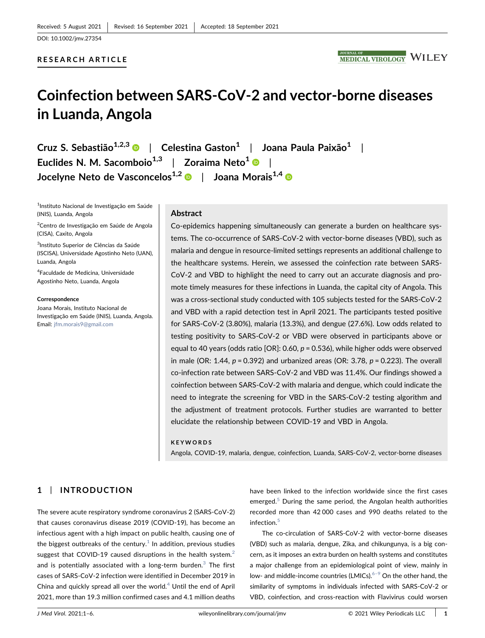## RESEARCH ARTICLE



# Coinfection between SARS‐CoV‐2 and vector‐borne diseases in Luanda, Angola

Cruz S. Sebastião<sup>1,2,[3](http://orcid.org/0000-0003-1232-0119)</sup>  $\bullet$  | Celestina Gaston<sup>1</sup> | Joana Paula Paixão<sup>1</sup> | Euclides N. M. Sacomboio<sup>1,3</sup> | Zoraima Neto<sup>1</sup>  $\bullet$  | Jocelyne Neto de Vasconcelos<sup>1,2</sup> De | Joana Morais<sup>1,[4](http://orcid.org/0000-0002-4524-4055)</sup>

1 Instituto Nacional de Investigação em Saúde (INIS), Luanda, Angola

<sup>2</sup>Centro de Investigação em Saúde de Angola (CISA), Caxito, Angola

<sup>3</sup>Instituto Superior de Ciências da Saúde (ISCISA), Universidade Agostinho Neto (UAN), Luanda, Angola

4 Faculdade de Medicina, Universidade Agostinho Neto, Luanda, Angola

Correspondence

Joana Morais, Instituto Nacional de Investigação em Saúde (INIS), Luanda, Angola. Email: [jfm.morais9@gmail.com](mailto:jfm.morais9@gmail.com)

#### Abstract

Co‐epidemics happening simultaneously can generate a burden on healthcare systems. The co‐occurrence of SARS‐CoV‐2 with vector‐borne diseases (VBD), such as malaria and dengue in resource‐limited settings represents an additional challenge to the healthcare systems. Herein, we assessed the coinfection rate between SARS‐ CoV‐2 and VBD to highlight the need to carry out an accurate diagnosis and promote timely measures for these infections in Luanda, the capital city of Angola. This was a cross-sectional study conducted with 105 subjects tested for the SARS-CoV-2 and VBD with a rapid detection test in April 2021. The participants tested positive for SARS‐CoV‐2 (3.80%), malaria (13.3%), and dengue (27.6%). Low odds related to testing positivity to SARS‐CoV‐2 or VBD were observed in participants above or equal to 40 years (odds ratio [OR]:  $0.60$ ,  $p = 0.536$ ), while higher odds were observed in male (OR: 1.44,  $p = 0.392$ ) and urbanized areas (OR: 3.78,  $p = 0.223$ ). The overall co-infection rate between SARS-CoV-2 and VBD was 11.4%. Our findings showed a coinfection between SARS‐CoV‐2 with malaria and dengue, which could indicate the need to integrate the screening for VBD in the SARS‐CoV‐2 testing algorithm and the adjustment of treatment protocols. Further studies are warranted to better elucidate the relationship between COVID‐19 and VBD in Angola.

## KEYWORDS

Angola, COVID‐19, malaria, dengue, coinfection, Luanda, SARS‐CoV‐2, vector‐borne diseases

# 1 | INTRODUCTION

The severe acute respiratory syndrome coronavirus 2 (SARS‐CoV‐2) that causes coronavirus disease 2019 (COVID‐19), has become an infectious agent with a high impact on public health, causing one of the biggest outbreaks of the century. $1$  In addition, previous studies suggest that COVID-19 caused disruptions in the health system. $<sup>2</sup>$  $<sup>2</sup>$  $<sup>2</sup>$ </sup> and is potentially associated with a long-term burden. $3$  The first cases of SARS‐CoV‐2 infection were identified in December 2019 in China and quickly spread all over the world. $4$  Until the end of April 2021, more than 19.3 million confirmed cases and 4.1 million deaths

have been linked to the infection worldwide since the first cases emerged. $5$  During the same period, the Angolan health authorities recorded more than 42 000 cases and 990 deaths related to the infection.<sup>[5](#page-4-4)</sup>

The co-circulation of SARS-CoV-2 with vector-borne diseases (VBD) such as malaria, dengue, Zika, and chikungunya, is a big concern, as it imposes an extra burden on health systems and constitutes a major challenge from an epidemiological point of view, mainly in low- and middle-income countries (LMICs). $6-9$  On the other hand, the similarity of symptoms in individuals infected with SARS‐CoV‐2 or VBD, coinfection, and cross‐reaction with Flavivirus could worsen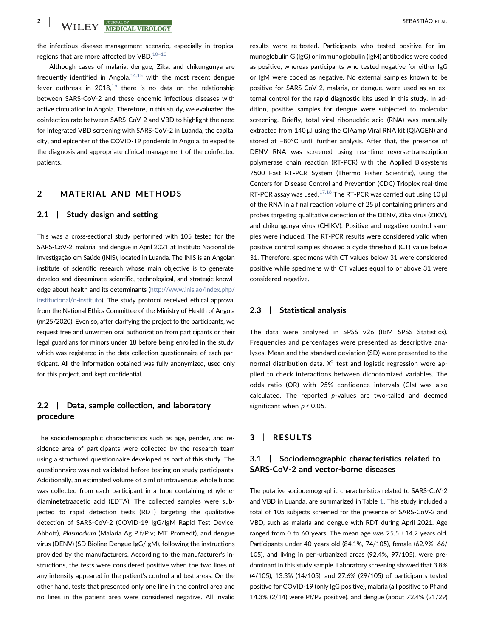**2** | **WILEY MEDICAL VIROLOGY** SEBASTIÃO ET AL.

the infectious disease management scenario, especially in tropical regions that are more affected by VBD. $10-13$ 

Although cases of malaria, dengue, Zika, and chikungunya are frequently identified in Angola, $14,15$  with the most recent dengue fever outbreak in 2018, $16$  there is no data on the relationship between SARS‐CoV‐2 and these endemic infectious diseases with active circulation in Angola. Therefore, in this study, we evaluated the coinfection rate between SARS‐CoV‐2 and VBD to highlight the need for integrated VBD screening with SARS‐CoV‐2 in Luanda, the capital city, and epicenter of the COVID‐19 pandemic in Angola, to expedite the diagnosis and appropriate clinical management of the coinfected patients.

## 2 | MATERIAL AND METHODS

#### 2.1 | Study design and setting

This was a cross‐sectional study performed with 105 tested for the SARS‐CoV‐2, malaria, and dengue in April 2021 at Instituto Nacional de Investigação em Saúde (INIS), located in Luanda. The INIS is an Angolan institute of scientific research whose main objective is to generate, develop and disseminate scientific, technological, and strategic knowledge about health and its determinants [\(http://www.inis.ao/index.php/](http://www.inis.ao/index.php/institucional/o-instituto) [institucional/o-instituto\)](http://www.inis.ao/index.php/institucional/o-instituto). The study protocol received ethical approval from the National Ethics Committee of the Ministry of Health of Angola (nr.25/2020). Even so, after clarifying the project to the participants, we request free and unwritten oral authorization from participants or their legal guardians for minors under 18 before being enrolled in the study, which was registered in the data collection questionnaire of each participant. All the information obtained was fully anonymized, used only for this project, and kept confidential.

## 2.2 | Data, sample collection, and laboratory procedure

The sociodemographic characteristics such as age, gender, and residence area of participants were collected by the research team using a structured questionnaire developed as part of this study. The questionnaire was not validated before testing on study participants. Additionally, an estimated volume of 5 ml of intravenous whole blood was collected from each participant in a tube containing ethylenediaminetetraacetic acid (EDTA). The collected samples were subjected to rapid detection tests (RDT) targeting the qualitative detection of SARS‐CoV‐2 (COVID‐19 IgG/IgM Rapid Test Device; Abbott), Plasmodium (Malaria Ag P.f/P.v; MT Promedt), and dengue virus (DENV) (SD Bioline Dengue IgG/IgM), following the instructions provided by the manufacturers. According to the manufacturer's instructions, the tests were considered positive when the two lines of any intensity appeared in the patient's control and test areas. On the other hand, tests that presented only one line in the control area and no lines in the patient area were considered negative. All invalid

results were re-tested. Participants who tested positive for immunoglobulin G (IgG) or immunoglobulin (IgM) antibodies were coded as positive, whereas participants who tested negative for either IgG or IgM were coded as negative. No external samples known to be positive for SARS‐CoV‐2, malaria, or dengue, were used as an external control for the rapid diagnostic kits used in this study. In addition, positive samples for dengue were subjected to molecular screening. Briefly, total viral ribonucleic acid (RNA) was manually extracted from 140 µl using the QIAamp Viral RNA kit (QIAGEN) and stored at −80°C until further analysis. After that, the presence of DENV RNA was screened using real-time reverse-transcription polymerase chain reaction (RT‐PCR) with the Applied Biosystems 7500 Fast RT‐PCR System (Thermo Fisher Scientific), using the Centers for Disease Control and Prevention (CDC) Trioplex real‐time RT-PCR assay was used.<sup>[17,18](#page-4-9)</sup> The RT-PCR was carried out using 10  $\mu$ l of the RNA in a final reaction volume of  $25 \mu$ l containing primers and probes targeting qualitative detection of the DENV, Zika virus (ZIKV), and chikungunya virus (CHIKV). Positive and negative control samples were included. The RT‐PCR results were considered valid when positive control samples showed a cycle threshold (CT) value below 31. Therefore, specimens with CT values below 31 were considered positive while specimens with CT values equal to or above 31 were considered negative.

## 2.3 | Statistical analysis

The data were analyzed in SPSS v26 (IBM SPSS Statistics). Frequencies and percentages were presented as descriptive analyses. Mean and the standard deviation (SD) were presented to the normal distribution data.  $X^2$  test and logistic regression were applied to check interactions between dichotomized variables. The odds ratio (OR) with 95% confidence intervals (CIs) was also calculated. The reported p-values are two-tailed and deemed significant when  $p < 0.05$ .

## 3 | RESULTS

## 3.1 | Sociodemographic characteristics related to SARS‐CoV‐2 and vector‐borne diseases

The putative sociodemographic characteristics related to SARS‐CoV‐2 and VBD in Luanda, are summarized in Table [1](#page-2-0). This study included a total of 105 subjects screened for the presence of SARS‐CoV‐2 and VBD, such as malaria and dengue with RDT during April 2021. Age ranged from 0 to 60 years. The mean age was  $25.5 \pm 14.2$  years old. Participants under 40 years old (84.1%, 74/105), female (62.9%, 66/ 105), and living in peri‐urbanized areas (92.4%, 97/105), were predominant in this study sample. Laboratory screening showed that 3.8% (4/105), 13.3% (14/105), and 27.6% (29/105) of participants tested positive for COVID‐19 (only IgG positive), malaria (all positive to Pf and 14.3% (2/14) were Pf/Pv positive), and dengue (about 72.4% (21/29)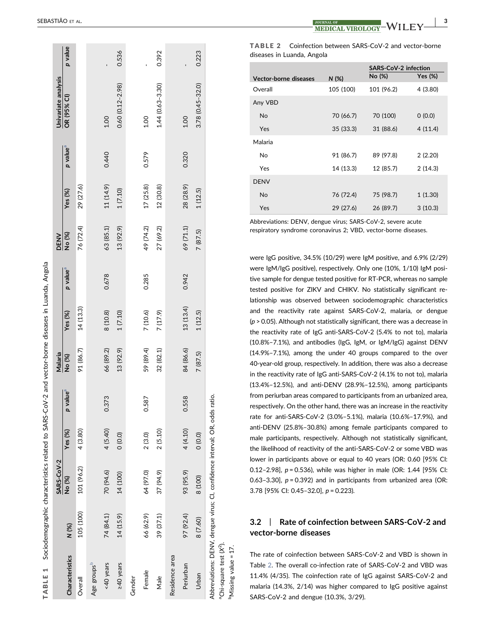<span id="page-2-0"></span>

|                                                 | TABLE 1 Sociodemographic characteristics related to SARS-COV-2 and vector-borne diseases in Luanda, Angola |            |          |                         |           |            |                      |             |           |                      |                     |         |
|-------------------------------------------------|------------------------------------------------------------------------------------------------------------|------------|----------|-------------------------|-----------|------------|----------------------|-------------|-----------|----------------------|---------------------|---------|
|                                                 |                                                                                                            | SARS-CoV-2 |          |                         | Malaria   |            |                      | <b>DENV</b> |           |                      | Univariate analysis |         |
| Characteristics                                 | N (%)                                                                                                      | No (%)     | Yes (%)  | value <sup>a</sup><br>Q | No (%)    | Yes $(\%)$ | p value <sup>a</sup> | No (%)      | Yes (%)   | p value <sup>a</sup> | OR (95% CI)         | p value |
| Overall                                         | 105 (100)                                                                                                  | 101 (96.2) | 4 (3.80) |                         | 91 (86.7) | 14(13.3)   |                      | 76 (72.4)   | 29 (27.6) |                      |                     |         |
| Age groups <sup>D</sup>                         |                                                                                                            |            |          |                         |           |            |                      |             |           |                      |                     |         |
| <40 years                                       | 74 (84.1)                                                                                                  | 70 (94.6)  | 4(5.40)  | 0.373                   | 66 (89.2) | 8 (10.8)   | 0.678                | 63 (85.1)   | 11 (14.9) | 0.440                | 1.00                |         |
| <b>240</b> years                                | 14(15.9)                                                                                                   | 14 (100)   | (0.0)    |                         | 13 (92.9) | 1(7.10)    |                      | 13 (92.9)   | 1(7.10)   |                      | $0.60(0.12 - 2.98)$ | 0.536   |
| Gender                                          |                                                                                                            |            |          |                         |           |            |                      |             |           |                      |                     |         |
| Female                                          | 66 (62.9)                                                                                                  | 64 (97.0)  | 2(3.0)   | 0.587                   | 59 (89.4) | 7 (10.6)   | 0.285                | 49 (74.2)   | 17(25.8)  | 0.579                | 1.00                |         |
| Male                                            | 39 (37.1)                                                                                                  | 37 (94.9)  | 2(5.10)  |                         | 32 (82.1) | 7(17.9)    |                      | 27 (69.2)   | 12 (30.8) |                      | $1.44(0.63 - 3.30)$ | 0.392   |
| Residence area                                  |                                                                                                            |            |          |                         |           |            |                      |             |           |                      |                     |         |
| Periurban                                       | 97 (92.4)                                                                                                  | 93 (95.9)  | 4 (4.10) | 0.558                   | 84 (86.6) | 13 (13.4)  | 0.942                | 69 (71.1)   | 28 (28.9) | 0.320                | 1.00                |         |
| Urban                                           | 8 (7.60)                                                                                                   | 8 (100)    | (0.0)    |                         | 7 (87.5)  | 1(12.5)    |                      | 7 (87.5)    | 1(12.5)   |                      | $3.78(0.45 - 32.0)$ | 0.223   |
| <sup>a</sup> Chi-square test (X <sup>2</sup> ). | Abbreviations: DENV, dengue virus; CI, confidence interval; OR, odds                                       |            |          | ratio.                  |           |            |                      |             |           |                      |                     |         |

3

<span id="page-2-3"></span><span id="page-2-2"></span><span id="page-2-1"></span>TABLE 2 Coinfection between SARS ‐CoV ‐2 and vector ‐borne diseases in Luanda, Angola

|                       | <b>SARS-CoV-2 infection</b> |            |            |
|-----------------------|-----------------------------|------------|------------|
| Vector-borne diseases | N (%)                       | No (%)     | Yes $(\%)$ |
| Overall               | 105 (100)                   | 101 (96.2) | 4(3.80)    |
| Any VBD               |                             |            |            |
| <b>No</b>             | 70 (66.7)                   | 70 (100)   | 0(0.0)     |
| Yes                   | 35 (33.3)                   | 31 (88.6)  | 4(11.4)    |
| Malaria               |                             |            |            |
| No.                   | 91 (86.7)                   | 89 (97.8)  | 2(2.20)    |
| Yes                   | 14 (13.3)                   | 12 (85.7)  | 2(14.3)    |
| <b>DENV</b>           |                             |            |            |
| No                    | 76 (72.4)                   | 75 (98.7)  | 1(1.30)    |
| Yes                   | 29 (27.6)                   | 26 (89.7)  | 3(10.3)    |

Abbreviations: DENV, dengue virus; SARS ‐CoV ‐2, severe acute respiratory syndrome coronavirus 2; VBD, vector ‐borne diseases.

were IgG positive, 34.5% (10/29) were IgM positive, and 6.9% (2/29) were IgM/IgG positive), respectively. Only one (10%, 1/10) IgM positive sample for dengue tested positive for RT‐PCR, whereas no sample tested positive for ZIKV and CHIKV. No statistically significant relationship was observed between sociodemographic characteristics and the reactivity rate against SARS ‐CoV ‐2, malaria, or dengue ( p > 0.05). Although not statistically significant, there was a decrease in the reactivity rate of IgG anti ‐SARS ‐CoV ‐2 (5.4% to not to), malaria (10.8% –7.1%), and antibodies (IgG, IgM, or IgM/IgG) against DENV (14.9% –7.1%), among the under 40 groups compared to the over 40 ‐year ‐old group, respectively. In addition, there was also a decrease in the reactivity rate of IgG anti ‐SARS ‐CoV ‐2 (4.1% to not to), malaria (13.4% –12.5%), and anti ‐DENV (28.9% –12.5%), among participants from periurban areas compared to participants from an urbanized area, respectively. On the other hand, there was an increase in the reactivity rate for anti ‐SARS ‐CoV ‐2 (3.0% –5.1%), malaria (10.6% –17.9%), and anti ‐DENV (25.8% –30.8%) among female participants compared to male participants, respectively. Although not statistically significant, the likelihood of reactivity of the anti ‐SARS ‐CoV ‐2 or some VBD was lower in participants above or equal to 40 years (OR: 0.60 [95% CI: 0.12 –2.98], p = 0.536), while was higher in male (OR: 1.44 [95% CI: 0.63-3.30],  $p = 0.392$ ) and in participants from urbanized area (OR: 3.78 [95% CI: 0.45 –32.0], p = 0.223).

## 3.2 | Rate of coinfection between SARS ‐CoV ‐2 and vector ‐borne diseases

The rate of coinfection between SARS ‐CoV ‐2 and VBD is shown in Table [2.](#page-2-1) The overall co-infection rate of SARS-CoV-2 and VBD was 11.4% (4/35). The coinfection rate of IgG against SARS ‐CoV ‐2 and malaria (14.3%, 2/14) was higher compared to IgG positive against SARS ‐CoV ‐2 and dengue (10.3%, 3/29).

<sup>b</sup>Missing value = 17.

Missing value = 17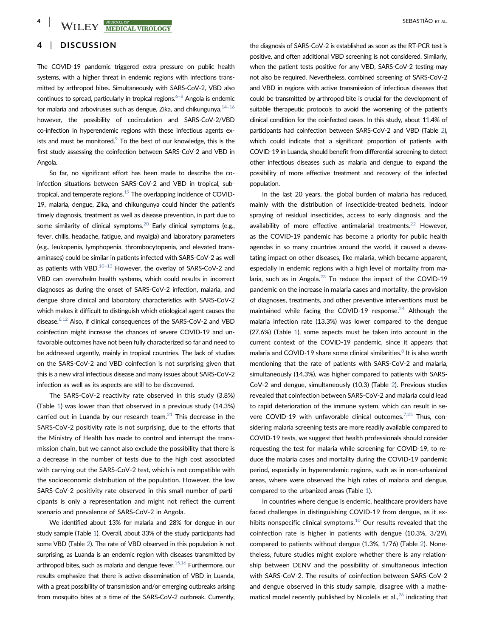-WILEY-<sup>Journal of</sup> the throne of the season of the season of the season of the season of the season of the season of the season of the season of the season of the season of the season of the season of the season of the se

## 4 | DISCUSSION

The COVID-19 pandemic triggered extra pressure on public health systems, with a higher threat in endemic regions with infections transmitted by arthropod bites. Simultaneously with SARS‐CoV‐2, VBD also continues to spread, particularly in tropical regions. $6-8$  Angola is endemic for malaria and arboviruses such as dengue, Zika, and chikungunya, $14-16$ however, the possibility of cocirculation and SARS‐CoV‐2/VBD co-infection in hyperendemic regions with these infectious agents exists and must be monitored. $9$  To the best of our knowledge, this is the first study assessing the coinfection between SARS‐CoV‐2 and VBD in Angola.

So far, no significant effort has been made to describe the coinfection situations between SARS‐CoV‐2 and VBD in tropical, subtropical, and temperate regions. $19$  The overlapping incidence of COVID-19, malaria, dengue, Zika, and chikungunya could hinder the patient's timely diagnosis, treatment as well as disease prevention, in part due to some similarity of clinical symptoms. $^{20}$  Early clinical symptoms (e.g., fever, chills, headache, fatigue, and myalgia) and laboratory parameters (e.g., leukopenia, lymphopenia, thrombocytopenia, and elevated transaminases) could be similar in patients infected with SARS‐CoV‐2 as well as patients with VBD. $10-13$  However, the overlay of SARS-CoV-2 and VBD can overwhelm health systems, which could results in incorrect diagnoses as during the onset of SARS‐CoV‐2 infection, malaria, and dengue share clinical and laboratory characteristics with SARS‐CoV‐2 which makes it difficult to distinguish which etiological agent causes the disease[.6,12](#page-4-5) Also, if clinical consequences of the SARS‐CoV‐2 and VBD coinfection might increase the chances of severe COVID‐19 and unfavorable outcomes have not been fully characterized so far and need to be addressed urgently, mainly in tropical countries. The lack of studies on the SARS‐CoV‐2 and VBD coinfection is not surprising given that this is a new viral infectious disease and many issues about SARS‐CoV‐2 infection as well as its aspects are still to be discovered.

The SARS‐CoV‐2 reactivity rate observed in this study (3.8%) (Table [1\)](#page-2-0) was lower than that observed in a previous study (14.3%) carried out in Luanda by our research team. $^{21}$  This decrease in the SARS-CoV-2 positivity rate is not surprising, due to the efforts that the Ministry of Health has made to control and interrupt the transmission chain, but we cannot also exclude the possibility that there is a decrease in the number of tests due to the high cost associated with carrying out the SARS‐CoV‐2 test, which is not compatible with the socioeconomic distribution of the population. However, the low SARS‐CoV‐2 positivity rate observed in this small number of participants is only a representation and might not reflect the current scenario and prevalence of SARS‐CoV‐2 in Angola.

We identified about 13% for malaria and 28% for dengue in our study sample (Table [1\)](#page-2-0). Overall, about 33% of the study participants had some VBD (Table [2\)](#page-2-1). The rate of VBD observed in this population is not surprising, as Luanda is an endemic region with diseases transmitted by arthropod bites, such as malaria and dengue fever. $15,16$  Furthermore, our results emphasize that there is active dissemination of VBD in Luanda, with a great possibility of transmission and/or emerging outbreaks arising from mosquito bites at a time of the SARS‐CoV‐2 outbreak. Currently,

the diagnosis of SARS‐CoV‐2 is established as soon as the RT‐PCR test is positive, and often additional VBD screening is not considered. Similarly, when the patient tests positive for any VBD, SARS-CoV-2 testing may not also be required. Nevertheless, combined screening of SARS‐CoV‐2 and VBD in regions with active transmission of infectious diseases that could be transmitted by arthropod bite is crucial for the development of suitable therapeutic protocols to avoid the worsening of the patient's clinical condition for the coinfected cases. In this study, about 11.4% of participants had coinfection between SARS‐CoV‐2 and VBD (Table [2\)](#page-2-1), which could indicate that a significant proportion of patients with COVID‐19 in Luanda, should benefit from differential screening to detect other infectious diseases such as malaria and dengue to expand the possibility of more effective treatment and recovery of the infected population.

In the last 20 years, the global burden of malaria has reduced, mainly with the distribution of insecticide‐treated bednets, indoor spraying of residual insecticides, access to early diagnosis, and the availability of more effective antimalarial treatments.<sup>[22](#page-5-3)</sup> However, as the COVID‐19 pandemic has become a priority for public health agendas in so many countries around the world, it caused a devastating impact on other diseases, like malaria, which became apparent, especially in endemic regions with a high level of mortality from malaria, such as in Angola. $^{23}$  To reduce the impact of the COVID-19 pandemic on the increase in malaria cases and mortality, the provision of diagnoses, treatments, and other preventive interventions must be maintained while facing the COVID-19 response.<sup>24</sup> Although the malaria infection rate (13.3%) was lower compared to the dengue (27.6%) (Table [1\)](#page-2-0), some aspects must be taken into account in the current context of the COVID‐19 pandemic, since it appears that malaria and COVID-19 share some clinical similarities. $8$  It is also worth mentioning that the rate of patients with SARS‐CoV‐2 and malaria, simultaneously (14.3%), was higher compared to patients with SARS‐ CoV‐2 and dengue, simultaneously (10.3) (Table [2](#page-2-1)). Previous studies revealed that coinfection between SARS‐CoV‐2 and malaria could lead to rapid deterioration of the immune system, which can result in severe COVID-19 with unfavorable clinical outcomes.<sup>7,25</sup> Thus, considering malaria screening tests are more readily available compared to COVID‐19 tests, we suggest that health professionals should consider requesting the test for malaria while screening for COVID‐19, to reduce the malaria cases and mortality during the COVID‐19 pandemic period, especially in hyperendemic regions, such as in non-urbanized areas, where were observed the high rates of malaria and dengue, compared to the urbanized areas (Table [1](#page-2-0)).

In countries where dengue is endemic, healthcare providers have faced challenges in distinguishing COVID‐19 from dengue, as it exhibits nonspecific clinical symptoms. $10$  Our results revealed that the coinfection rate is higher in patients with dengue (10.3%, 3/29), compared to patients without dengue (1.3%, 1/76) (Table [2](#page-2-1)). Nonetheless, future studies might explore whether there is any relationship between DENV and the possibility of simultaneous infection with SARS‐CoV‐2. The results of coinfection between SARS‐CoV‐2 and dengue observed in this study sample, disagree with a mathematical model recently published by Nicolelis et al., $^{26}$  $^{26}$  $^{26}$  indicating that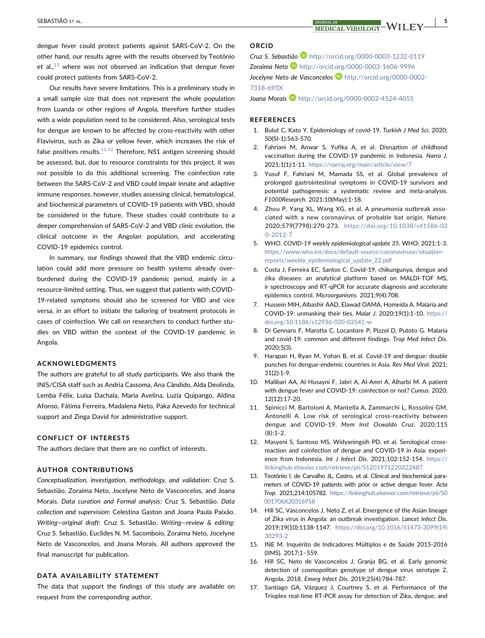dengue fever could protect patients against SARS‐CoV‐2. On the other hand, our results agree with the results observed by Teotônio et al., $13$  where was not observed an indication that dengue fever could protect patients from SARS‐CoV‐2.

Our results have severe limitations. This is a preliminary study in a small sample size that does not represent the whole population from Luanda or other regions of Angola, therefore further studies with a wide population need to be considered. Also, serological tests for dengue are known to be affected by cross‐reactivity with other Flavivirus, such as Zika or yellow fever, which increases the risk of false positives results. $11,12$  Therefore, NS1 antigen screening should be assessed, but, due to resource constraints for this project, it was not possible to do this additional screening. The coinfection rate between the SARS‐CoV‐2 and VBD could impair innate and adaptive immune responses, however, studies assessing clinical, hematological, and biochemical parameters of COVID‐19 patients with VBD, should be considered in the future. These studies could contribute to a deeper comprehension of SARS‐CoV‐2 and VBD clinic evolution, the clinical outcome in the Angolan population, and accelerating COVID‐19 epidemics control.

In summary, our findings showed that the VBD endemic circulation could add more pressure on health systems already over‐ burdened during the COVID‐19 pandemic period, mainly in a resource‐limited setting. Thus, we suggest that patients with COVID‐ 19-related symptoms should also be screened for VBD and vice versa, in an effort to initiate the tailoring of treatment protocols in cases of coinfection. We call on researchers to conduct further studies on VBD within the context of the COVID‐19 pandemic in Angola.

## ACKNOWLEDGMENTS

The authors are grateful to all study participants. We also thank the INIS/CISA staff such as Andria Cassoma, Ana Cândido, Alda Deolinda, Lemba Félix, Luísa Dachala, Maria Avelina, Luzia Quipango, Aldina Afonso, Fátima Ferreira, Madalena Neto, Paka Azevedo for technical support and Zinga David for administrative support.

#### CONFLICT OF INTERESTS

The authors declare that there are no conflict of interests.

## AUTHOR CONTRIBUTIONS

Conceptualization, investigation, methodology, and validation: Cruz S. Sebastião, Zoraima Neto, Jocelyne Neto de Vasconcelos, and Joana Morais. Data curation and Formal analysis: Cruz S. Sebastião. Data collection and supervision: Celestina Gaston and Joana Paula Paixão. Writing—original draft: Cruz S. Sebastião. Writing—review & editing: Cruz S. Sebastião, Euclides N. M. Sacomboio, Zoraima Neto, Jocelyne Neto de Vasconcelos, and Joana Morais. All authors approved the final manuscript for publication.

#### DATA AVAILABILITY STATEMENT

The data that support the findings of this study are available on request from the corresponding author.

## ORCID

Cruz S. Sebastião im <http://orcid.org/0000-0003-1232-0119> Zoraima Neto <http://orcid.org/0000-0003-1606-9996> Jocelyne Neto de Vasconcelos D[http://orcid.org/0000-0002-](http://orcid.org/0000-0002-7318-693X)

[7318-693X](http://orcid.org/0000-0002-7318-693X)

**Joana Morais <http://orcid.org/0000-0002-4524-4055>** 

#### REFERENCES

- <span id="page-4-0"></span>1. Bulut C, Kato Y. Epidemiology of covid‐19. Turkish J Med Sci. 2020; 50(SI‐1):563‐570.
- <span id="page-4-1"></span>2. Fahriani M, Anwar S, Yufika A, et al. Disruption of childhood vaccination during the COVID‐19 pandemic in Indonesia. Narra J. 2021;1(1):1‐11. <https://narraj.org/main/article/view/7>
- <span id="page-4-2"></span>3. Yusuf F, Fahriani M, Mamada SS, et al. Global prevalence of prolonged gastrointestinal symptoms in COVID‐19 survivors and potential pathogenesis: a systematic review and meta-analysis. F1000Research. 2021;10(May):1‐18.
- <span id="page-4-3"></span>4. Zhou P, Yang XL, Wang XG, et al. A pneumonia outbreak associated with a new coronavirus of probable bat origin. Nature. 2020;579(7798):270‐273. [https://doi.org/10.1038/s41586-02](https://doi.org/10.1038/s41586-020-2012-7) [0-2012-7](https://doi.org/10.1038/s41586-020-2012-7)
- <span id="page-4-4"></span>5. WHO. COVID‐19 weekly epidemiological update 35. WHO; 2021:1‐3. [https://www.who.int/docs/default-source/coronaviruse/situation](https://www.who.int/docs/default-source/coronaviruse/situation-reports/weekly_epidemiological_update_22.pdf)[reports/weekly\\_epidemiological\\_update\\_22.pdf](https://www.who.int/docs/default-source/coronaviruse/situation-reports/weekly_epidemiological_update_22.pdf)
- <span id="page-4-5"></span>6. Costa J, Ferreira EC, Santos C. Covid‐19, chikungunya, dengue and zika diseases: an analytical platform based on MALDI‐TOF MS, ir spectroscopy and RT‐qPCR for accurate diagnosis and accelerate epidemics control. Microorganisms. 2021;9(4):708.
- <span id="page-4-13"></span>7. Hussein MIH, Albashir AAD, Elawad OAMA, Homeida A. Malaria and COVID‐19: unmasking their ties. Malar J. 2020;19(1):1‐10. [https://](https://doi.org/10.1186/s12936-020-03541-w) [doi.org/10.1186/s12936-020-03541-w](https://doi.org/10.1186/s12936-020-03541-w)
- <span id="page-4-12"></span>8. Di Gennaro F, Marotta C, Locantore P, Pizzol D, Putoto G. Malaria and covid‐19: common and different findings. Trop Med Infect Dis. 2020;5(3).
- <span id="page-4-10"></span>9. Harapan H, Ryan M, Yohan B, et al. Covid‐19 and dengue: double punches for dengue-endemic countries in Asia. Rev Med Virol. 2021; 31(2):1‐9.
- <span id="page-4-6"></span>10. Malibari AA, Al‐Husayni F, Jabri A, Al‐Amri A, Alharbi M. A patient with dengue fever and COVID‐19: coinfection or not? Cureus. 2020; 12(12):17‐20.
- <span id="page-4-15"></span>11. Spinicci M, Bartoloni A, Mantella A, Zammarchi L, Rossolini GM, Antonelli A. Low risk of serological cross‐reactivity between dengue and COVID‐19. Mem Inst Oswaldo Cruz. 2020;115 (8):1‐2.
- 12. Masyeni S, Santoso MS, Widyaningsih PD, et al. Serological cross‐ reaction and coinfection of dengue and COVID‐19 in Asia: experience from Indonesia. Int J Infect Dis. 2021;102:152-154. [https://](https://linkinghub.elsevier.com/retrieve/pii/S1201971220322487) [linkinghub.elsevier.com/retrieve/pii/S1201971220322487](https://linkinghub.elsevier.com/retrieve/pii/S1201971220322487)
- <span id="page-4-14"></span>13. Teotônio I, de Carvalho JL, Castro, et al. Clinical and biochemical parameters of COVID‐19 patients with prior or active dengue fever. Acta Trop. 2021;214:105782. [https://linkinghub.elsevier.com/retrieve/pii/S0](https://linkinghub.elsevier.com/retrieve/pii/S0001706X20316958) [001706X20316958](https://linkinghub.elsevier.com/retrieve/pii/S0001706X20316958)
- <span id="page-4-7"></span>14. Hill SC, Vasconcelos J, Neto Z, et al. Emergence of the Asian lineage of Zika virus in Angola: an outbreak investigation. Lancet Infect Dis. 2019;19(10):1138‐1147. [https://doi.org/10.1016/S1473-3099\(19\)](https://doi.org/10.1016/S1473-3099(19)30293-2) [30293-2](https://doi.org/10.1016/S1473-3099(19)30293-2)
- <span id="page-4-11"></span>15. INE M. Inquérito de Indicadores Múltiplos e de Saúde 2015‐2016 (IIMS). 2017;1–559.
- <span id="page-4-8"></span>16. Hill SC, Neto de Vasconcelos J, Granja BG, et al. Early genomic detection of cosmopolitan genotype of dengue virus serotype 2, Angola, 2018. Emerg Infect Dis. 2019;25(4):784‐787.
- <span id="page-4-9"></span>17. Santiago GA, Vázquez J, Courtney S, et al. Performance of the Trioplex real‐time RT‐PCR assay for detection of Zika, dengue, and